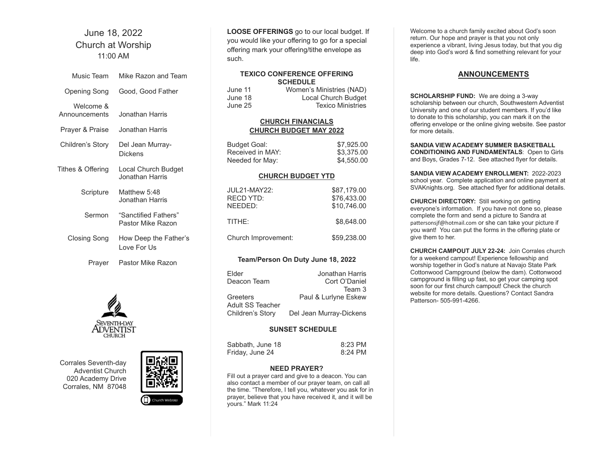### June 18, 2022 Church at Worship 11:00 AM

| Music Team                 | Mike Razon and Team                       |
|----------------------------|-------------------------------------------|
| Opening Song               | Good, Good Father                         |
| Welcome &<br>Announcements | Jonathan Harris                           |
| Prayer & Praise            | Jonathan Harris                           |
| Children's Story           | Del Jean Murray-<br>Dickens               |
| Tithes & Offering          | Local Church Budget<br>Jonathan Harris    |
| Scripture                  | Matthew 5:48<br>Jonathan Harris           |
| Sermon                     | "Sanctified Fathers"<br>Pastor Mike Razon |
| Closing Song               | How Deep the Father's<br>Love For Us      |
| Praver                     | Pastor Mike Razon                         |



Corrales Seventh-day Adventist Church 020 Academy Drive Corrales, NM 87048



LOOSE OFFERINGS go to our local budget. If you would like your offering to go for a special offering mark your offering/tithe envelope as such.

#### TEXICO CONFERENCE OFFERING **SCHEDULE**

| June 11 | Women's Ministries (NAD) |
|---------|--------------------------|
| June 18 | Local Church Budget      |
| June 25 | <b>Texico Ministries</b> |

#### CHURCH FINANCIALS CHURCH BUDGET MAY 2022

| Budget Goal:     | \$7,925.00 |
|------------------|------------|
| Received in MAY: | \$3,375.00 |
| Needed for May:  | \$4,550.00 |

#### CHURCH BUDGET YTD

| <b>JUL21-MAY22:</b><br><b>RECD YTD:</b><br>NFFDFD: | \$87,179.00<br>\$76.433.00<br>\$10,746.00 |
|----------------------------------------------------|-------------------------------------------|
| TITHE:                                             | \$8.648.00                                |
| Church Improvement:                                | \$59,238,00                               |

#### Team/Person On Duty June 18, 2022

| Elder            | Jonathan Harris         |
|------------------|-------------------------|
| Deacon Team      | Cort O'Daniel           |
|                  | Team 3                  |
| Greeters         | Paul & Lurlyne Eskew    |
| Adult SS Teacher |                         |
| Children's Story | Del Jean Murray-Dickens |
|                  |                         |

#### SUNSET SCHEDULE

| Sabbath, June 18 | 8:23 PM |
|------------------|---------|
| Friday, June 24  | 8:24 PM |

#### NEED PRAYER?

Fill out a prayer card and give to a deacon. You can also contact a member of our prayer team, on call all the time. "Therefore, I tell you, whatever you ask for in prayer, believe that you have received it, and it will be yours." Mark 11:24

Welcome to a church family excited about God's soon return. Our hope and prayer is that you not only experience a vibrant, living Jesus today, but that you dig deep into God's word & find something relevant for your life.

#### ANNOUNCEMENTS

SCHOLARSHIP FUND: We are doing a 3-way scholarship between our church, Southwestern Adventist University and one of our student members. If you'd like to donate to this scholarship, you can mark it on the offering envelope or the online giving website. See pastor for more details.

SANDIA VIEW ACADEMY SUMMER BASKETBALL CONDITIONING AND FUNDAMENTALS: Open to Girls and Boys, Grades 7-12. See attached flyer for details.

SANDIA VIEW ACADEMY ENROLLMENT: 2022-2023 school year. Complete application and online payment at SVAKnights.org. See attached flyer for additional details.

CHURCH DIRECTORY: Still working on getting everyone's information. If you have not done so, please complete the form and send a picture to Sandra at pattersonsif@hotmail.com or she can take your picture if you want! You can put the forms in the offering plate or give them to her.

CHURCH CAMPOUT JULY 22-24: Join Corrales church for a weekend campout! Experience fellowship and worship together in God's nature at Navajo State Park Cottonwood Campground (below the dam). Cottonwood campground is filling up fast, so get your camping spot soon for our first church campout! Check the church website for more details. Questions? Contact Sandra Patterson- 505-991-4266.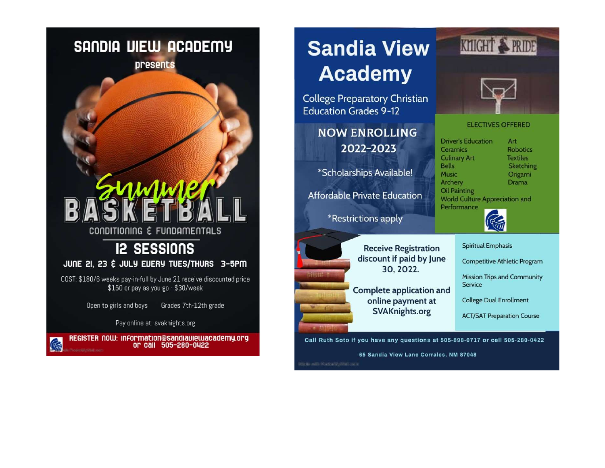

Pay online at: svaknights.org

REGISTER NOW: Information@sandiaviewacademy.org or call 505-280-0422

R

# **Sandia View Academy**

**College Preparatory Christian Education Grades 9-12** 

# **NOW ENROLLING** 2022-2023

\*Scholarships Available!

**Affordable Private Education** 

\*Restrictions apply



**Receive Registration** discount if paid by June 30, 2022.

Complete application and online payment at **SVAKnights.org** 



KNIGHT

#### **ELECTIVES OFFERED**

| er's Education               | Art             |
|------------------------------|-----------------|
| amics                        | <b>Robotics</b> |
| nary Art                     | <b>Textiles</b> |
| 5                            | <b>Sketchir</b> |
| śіс                          | Origami         |
| hery                         | Drama           |
| Painting                     |                 |
| rld Culture Appreciation and |                 |
| formance                     |                 |

Dri

Cer Cu Be

Mu Arc Oil

Wo Per





Competitive Athletic Program

**Mission Trips and Community** Service

**College Dual Enrollment** 

**ACT/SAT Preparation Course** 

Call Ruth Soto if you have any questions at 505-898-0717 or cell 505-280-0422

65 Sandia View Lane Corrales, NM 87048